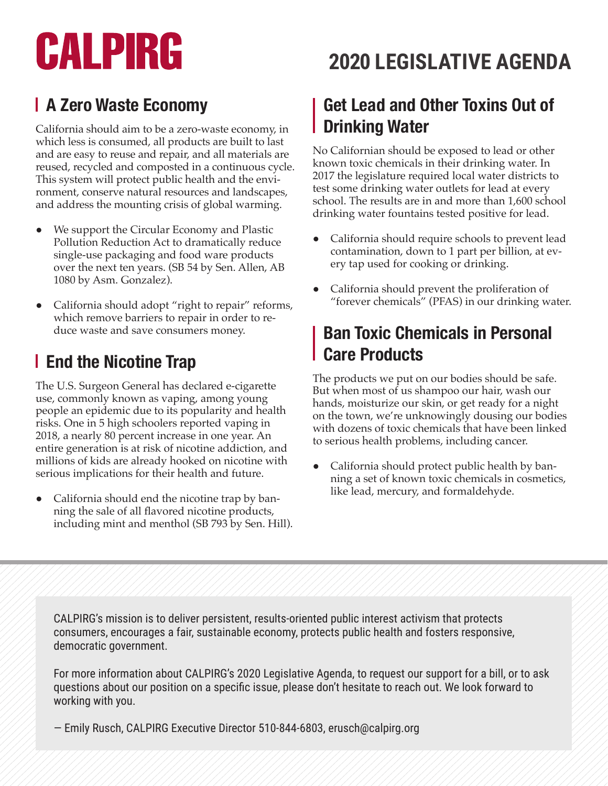# CALPIRG

#### **A Zero Waste Economy**

California should aim to be a zero-waste economy, in which less is consumed, all products are built to last and are easy to reuse and repair, and all materials are reused, recycled and composted in a continuous cycle. This system will protect public health and the environment, conserve natural resources and landscapes, and address the mounting crisis of global warming.

- We support the Circular Economy and Plastic Pollution Reduction Act to dramatically reduce single-use packaging and food ware products over the next ten years. (SB 54 by Sen. Allen, AB 1080 by Asm. Gonzalez).
- California should adopt "right to repair" reforms, which remove barriers to repair in order to reduce waste and save consumers money.

#### **End the Nicotine Trap**

The U.S. Surgeon General has declared e-cigarette use, commonly known as vaping, among young people an epidemic due to its popularity and health risks. One in 5 high schoolers reported vaping in 2018, a nearly 80 percent increase in one year. An entire generation is at risk of nicotine addiction, and millions of kids are already hooked on nicotine with serious implications for their health and future.

• California should end the nicotine trap by banning the sale of all flavored nicotine products, including mint and menthol (SB 793 by Sen. Hill).

# **2020 LEGISLATIVE AGENDA**

#### **Get Lead and Other Toxins Out of Drinking Water**

No Californian should be exposed to lead or other known toxic chemicals in their drinking water. In 2017 the legislature required local water districts to test some drinking water outlets for lead at every school. The results are in and more than 1,600 school drinking water fountains tested positive for lead.

- California should require schools to prevent lead contamination, down to 1 part per billion, at every tap used for cooking or drinking.
- ● California should prevent the proliferation of "forever chemicals" (PFAS) in our drinking water.

#### **Ban Toxic Chemicals in Personal Care Products**

The products we put on our bodies should be safe. But when most of us shampoo our hair, wash our hands, moisturize our skin, or get ready for a night on the town, we're unknowingly dousing our bodies with dozens of toxic chemicals that have been linked to serious health problems, including cancer.

California should protect public health by banning a set of known toxic chemicals in cosmetics, like lead, mercury, and formaldehyde.

CALPIRG's mission is to deliver persistent, results-oriented public interest activism that protects consumers, encourages a fair, sustainable economy, protects public health and fosters responsive, democratic government.

For more information about CALPIRG's 2020 Legislative Agenda, to request our support for a bill, or to ask questions about our position on a specific issue, please don't hesitate to reach out. We look forward to working with you.

— Emily Rusch, CALPIRG Executive Director 510-844-6803, erusch@calpirg.org